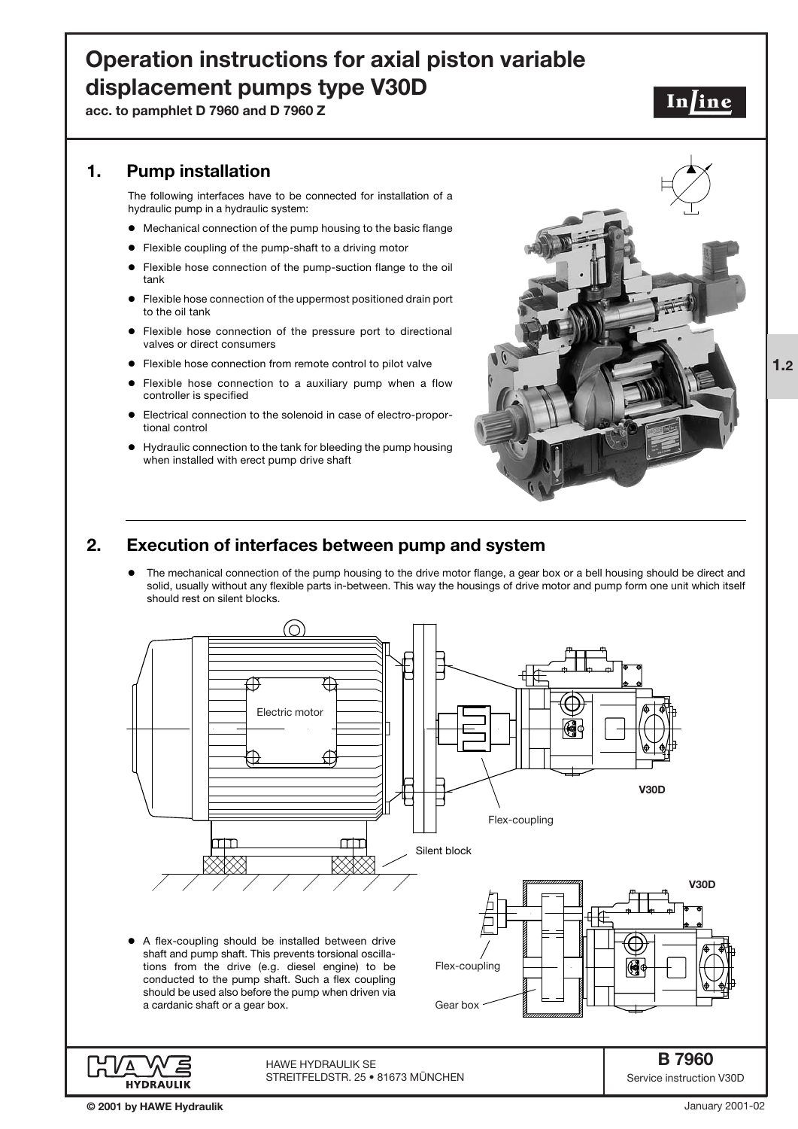# **Operation instructions for axial piston variable displacement pumps type V30D**

**acc. to pamphlet D 7960 and D 7960 Z**

# **1. Pump installation**

The following interfaces have to be connected for installation of a hydraulic pump in a hydraulic system:

- $\bullet$  Mechanical connection of the pump housing to the basic flange
- $\bullet$ Flexible coupling of the pump-shaft to a driving motor
- $\bullet$  Flexible hose connection of the pump-suction flange to the oil tank
- $\bullet$  Flexible hose connection of the uppermost positioned drain port to the oil tank
- $\bullet$  Flexible hose connection of the pressure port to directional valves or direct consumers
- $\bullet$ Flexible hose connection from remote control to pilot valve
- $\bullet$  Flexible hose connection to a auxiliary pump when a flow controller is specified
- $\bullet$  Electrical connection to the solenoid in case of electro-proportional control
- $\bullet$  Hydraulic connection to the tank for bleeding the pump housing when installed with erect pump drive shaft



In/ine

# **2. Execution of interfaces between pump and system**

 $\bullet$  The mechanical connection of the pump housing to the drive motor flange, a gear box or a bell housing should be direct and solid, usually without any flexible parts in-between. This way the housings of drive motor and pump form one unit which itself should rest on silent blocks.



January 2001-02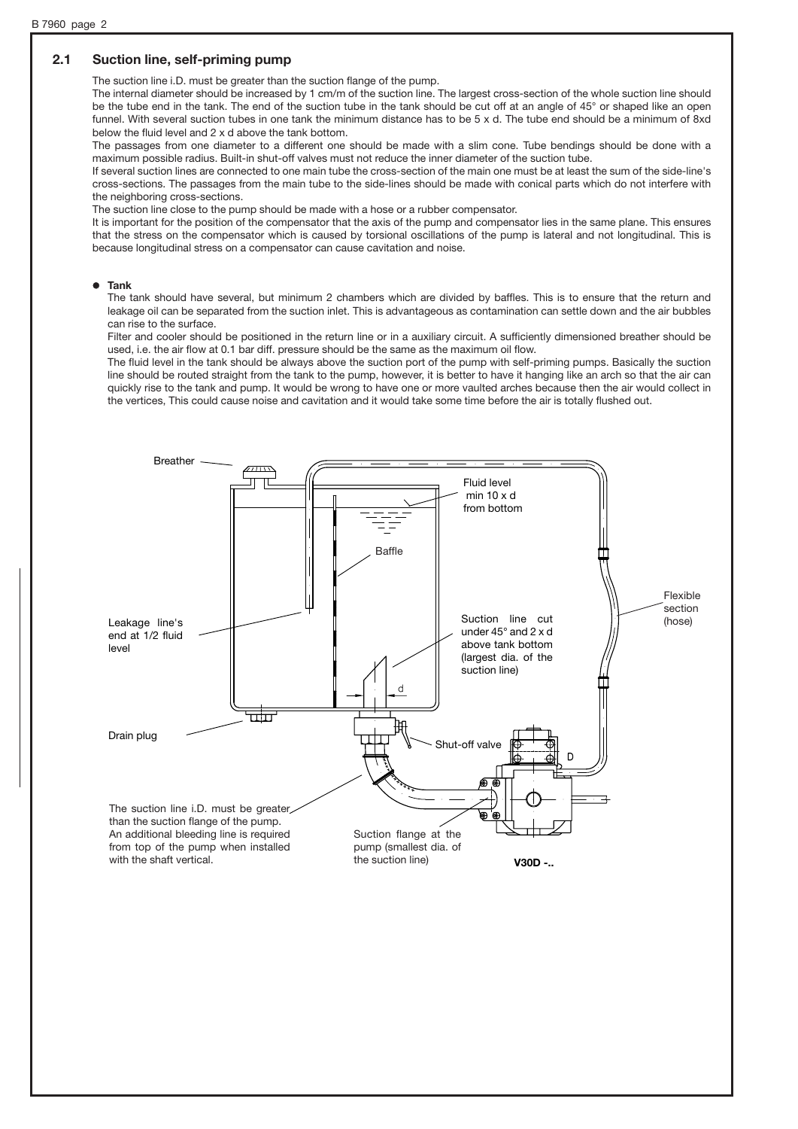## **2.1 Suction line, self-priming pump**

The suction line i.D. must be greater than the suction flange of the pump.

The internal diameter should be increased by 1 cm/m of the suction line. The largest cross-section of the whole suction line should be the tube end in the tank. The end of the suction tube in the tank should be cut off at an angle of 45° or shaped like an open funnel. With several suction tubes in one tank the minimum distance has to be 5 x d. The tube end should be a minimum of 8xd below the fluid level and 2 x d above the tank bottom.

The passages from one diameter to a different one should be made with a slim cone. Tube bendings should be done with a maximum possible radius. Built-in shut-off valves must not reduce the inner diameter of the suction tube.

If several suction lines are connected to one main tube the cross-section of the main one must be at least the sum of the side-line's cross-sections. The passages from the main tube to the side-lines should be made with conical parts which do not interfere with the neighboring cross-sections.

The suction line close to the pump should be made with a hose or a rubber compensator.

It is important for the position of the compensator that the axis of the pump and compensator lies in the same plane. This ensures that the stress on the compensator which is caused by torsional oscillations of the pump is lateral and not longitudinal. This is because longitudinal stress on a compensator can cause cavitation and noise.

#### ' **Tank**

The tank should have several, but minimum 2 chambers which are divided by baffles. This is to ensure that the return and leakage oil can be separated from the suction inlet. This is advantageous as contamination can settle down and the air bubbles can rise to the surface.

Filter and cooler should be positioned in the return line or in a auxiliary circuit. A sufficiently dimensioned breather should be used, i.e. the air flow at 0.1 bar diff. pressure should be the same as the maximum oil flow.

The fluid level in the tank should be always above the suction port of the pump with self-priming pumps. Basically the suction line should be routed straight from the tank to the pump, however, it is better to have it hanging like an arch so that the air can quickly rise to the tank and pump. It would be wrong to have one or more vaulted arches because then the air would collect in the vertices, This could cause noise and cavitation and it would take some time before the air is totally flushed out.

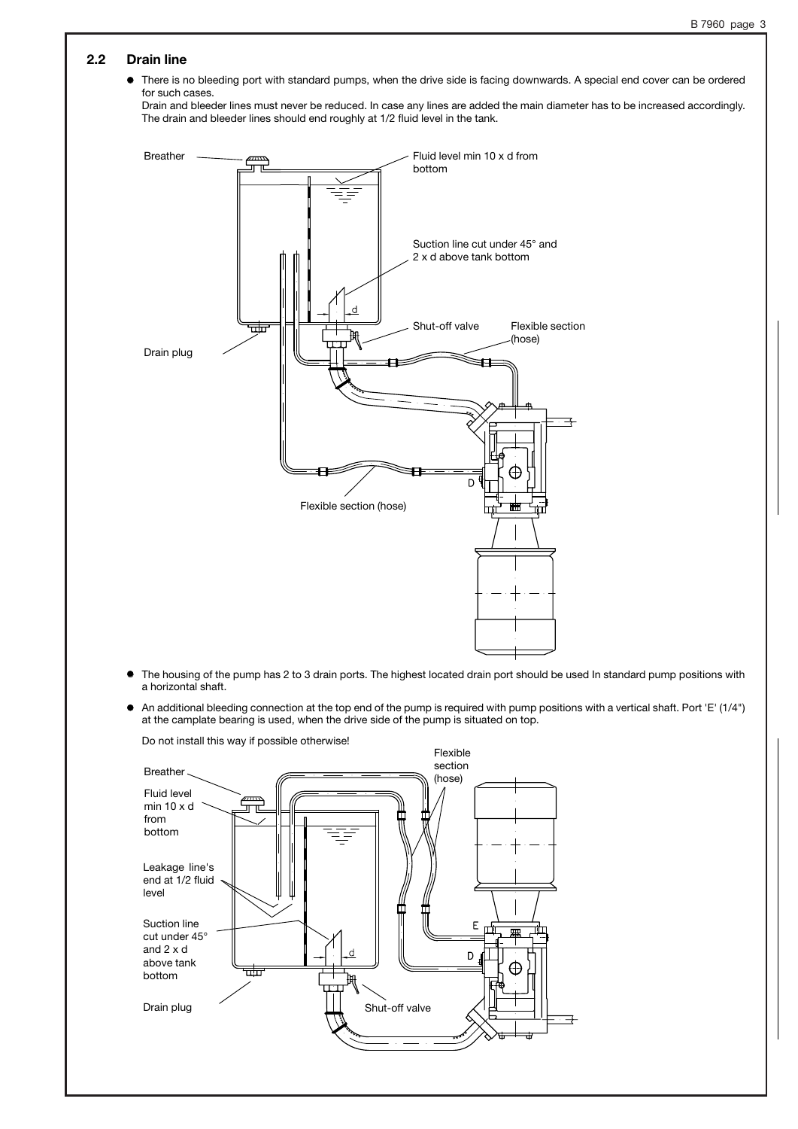## **2.2 Drain line**

 $\bullet$  There is no bleeding port with standard pumps, when the drive side is facing downwards. A special end cover can be ordered for such cases.

Drain and bleeder lines must never be reduced. In case any lines are added the main diameter has to be increased accordingly. The drain and bleeder lines should end roughly at 1/2 fluid level in the tank.



- 0 The housing of the pump has 2 to 3 drain ports. The highest located drain port should be used In standard pump positions with a horizontal shaft.
- $\bullet$  An additional bleeding connection at the top end of the pump is required with pump positions with a vertical shaft. Port 'E' (1/4") at the camplate bearing is used, when the drive side of the pump is situated on top.



Do not install this way if possible otherwise!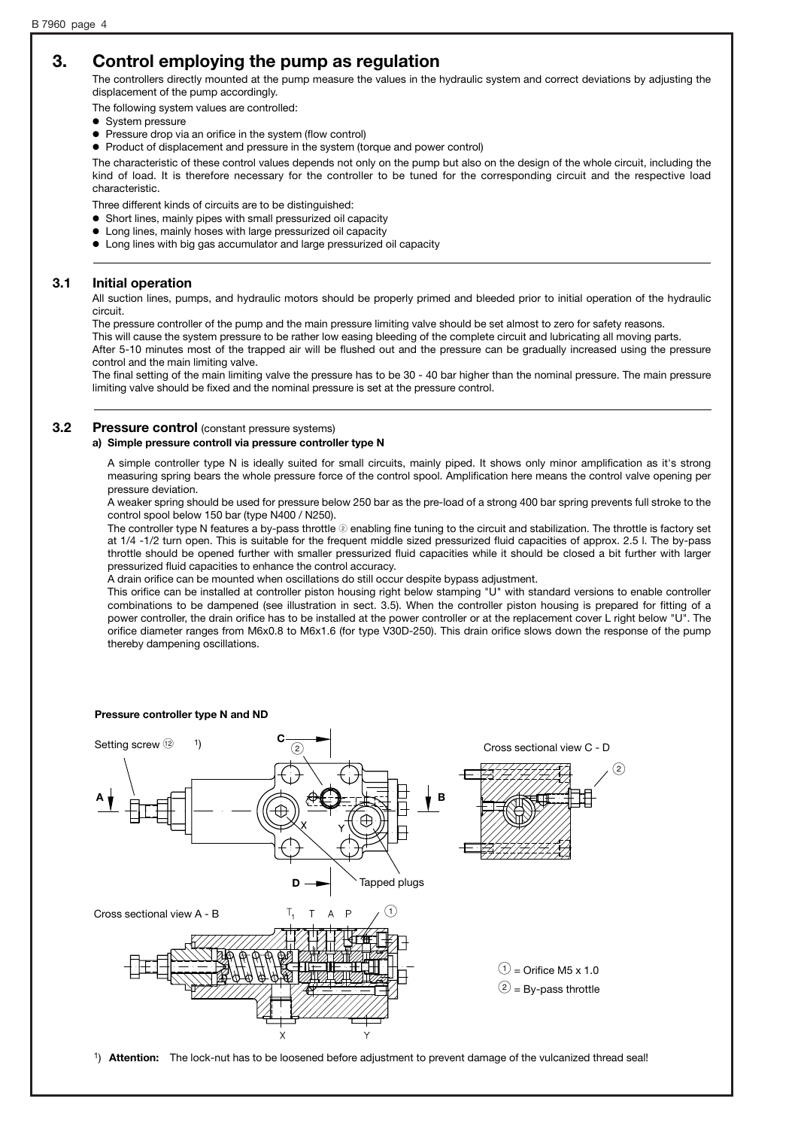# **3. Control employing the pump as regulation**

The controllers directly mounted at the pump measure the values in the hydraulic system and correct deviations by adjusting the displacement of the pump accordingly.

The following system values are controlled:

- System pressure
- $\bullet$ Pressure drop via an orifice in the system (flow control)
- ' Product of displacement and pressure in the system (torque and power control)

The characteristic of these control values depends not only on the pump but also on the design of the whole circuit, including the kind of load. It is therefore necessary for the controller to be tuned for the corresponding circuit and the respective load characteristic.

Three different kinds of circuits are to be distinguished:

- ' Short lines, mainly pipes with small pressurized oil capacity
- $\bullet$  Long lines, mainly hoses with large pressurized oil capacity
- ' Long lines with big gas accumulator and large pressurized oil capacity

#### **3.1 Initial operation**

All suction lines, pumps, and hydraulic motors should be properly primed and bleeded prior to initial operation of the hydraulic circuit.

The pressure controller of the pump and the main pressure limiting valve should be set almost to zero for safety reasons.

This will cause the system pressure to be rather low easing bleeding of the complete circuit and lubricating all moving parts.

After 5-10 minutes most of the trapped air will be flushed out and the pressure can be gradually increased using the pressure control and the main limiting valve.

The final setting of the main limiting valve the pressure has to be 30 - 40 bar higher than the nominal pressure. The main pressure limiting valve should be fixed and the nominal pressure is set at the pressure control.

## **3.2** Pressure control (constant pressure systems)

#### **a) Simple pressure controll via pressure controller type N**

A simple controller type N is ideally suited for small circuits, mainly piped. It shows only minor amplification as it's strong measuring spring bears the whole pressure force of the control spool. Amplification here means the control valve opening per pressure deviation.

A weaker spring should be used for pressure below 250 bar as the pre-load of a strong 400 bar spring prevents full stroke to the control spool below 150 bar (type N400 / N250).

The controller type N features a by-pass throttle @ enabling fine tuning to the circuit and stabilization. The throttle is factory set at 1/4 -1/2 turn open. This is suitable for the frequent middle sized pressurized fluid capacities of approx. 2.5 l. The by-pass throttle should be opened further with smaller pressurized fluid capacities while it should be closed a bit further with larger pressurized fluid capacities to enhance the control accuracy.

A drain orifice can be mounted when oscillations do still occur despite bypass adjustment.

This orifice can be installed at controller piston housing right below stamping "U" with standard versions to enable controller combinations to be dampened (see illustration in sect. 3.5). When the controller piston housing is prepared for fitting of a power controller, the drain orifice has to be installed at the power controller or at the replacement cover L right below "U". The orifice diameter ranges from M6x0.8 to M6x1.6 (for type V30D-250). This drain orifice slows down the response of the pump thereby dampening oscillations.



1) **Attention:** The lock-nut has to be loosened before adjustment to prevent damage of the vulcanized thread seal!

#### **Pressure controller type N and ND**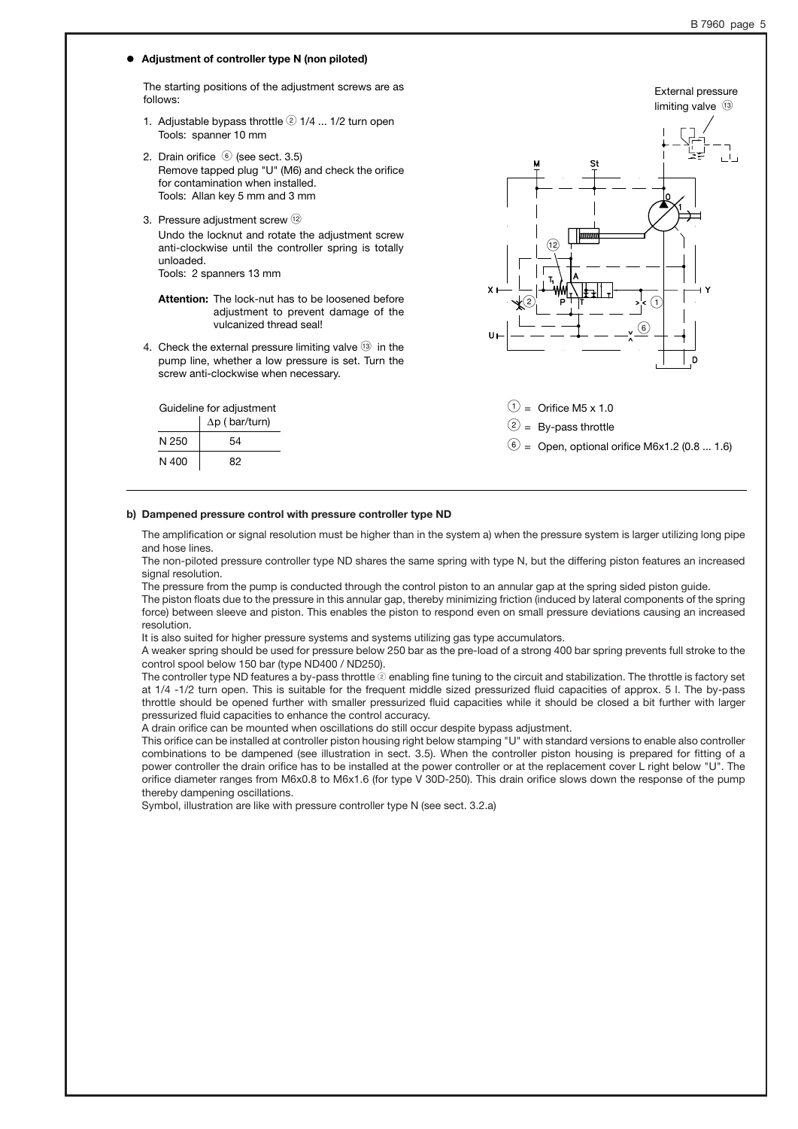External pressure

#### ' **Adjustment of controller type N (non piloted)**

The starting positions of the adjustment screws are as follows:

- 1. Adjustable bypass throttle  $\textcircled{2}$  1/4 ... 1/2 turn open Tools: spanner 10 mm
- 2. Drain orifice @ (see sect. 3.5) Remove tapped plug "U" (M6) and check the orifice for contamination when installed. Tools: Allan key 5 mm and 3 mm
- 3. Pressure adjustment screw (12)

Guideline for adjustment  $\Delta p$  ( bar/turn)

 $N 250$  54  $N 400$  82

Undo the locknut and rotate the adjustment screw anti-clockwise until the controller spring is totally unloaded. Tools: 2 spanners 13 mm

**Attention:** The lock-nut has to be loosened before adjustment to prevent damage of the vulcanized thread seal!

4. Check the external pressure limiting valve  $(3)$  in the pump line, whether a low pressure is set. Turn the screw anti-clockwise when necessary.



 $\textcircled{1}$  = Orifice M5 x 1.0  $(2) = By-pass throttle$  $\circled{6}$  = Open, optional orifice M6x1.2 (0.8 ... 1.6)

#### **b) Dampened pressure control with pressure controller type ND**

The amplification or signal resolution must be higher than in the system a) when the pressure system is larger utilizing long pipe and hose lines.

The non-piloted pressure controller type ND shares the same spring with type N, but the differing piston features an increased signal resolution.

The pressure from the pump is conducted through the control piston to an annular gap at the spring sided piston guide.

The piston floats due to the pressure in this annular gap, thereby minimizing friction (induced by lateral components of the spring force) between sleeve and piston. This enables the piston to respond even on small pressure deviations causing an increased resolution.

It is also suited for higher pressure systems and systems utilizing gas type accumulators.

A weaker spring should be used for pressure below 250 bar as the pre-load of a strong 400 bar spring prevents full stroke to the control spool below 150 bar (type ND400 / ND250).

The controller type ND features a by-pass throttle @ enabling fine tuning to the circuit and stabilization. The throttle is factory set at 1/4 -1/2 turn open. This is suitable for the frequent middle sized pressurized fluid capacities of approx. 5 l. The by-pass throttle should be opened further with smaller pressurized fluid capacities while it should be closed a bit further with larger pressurized fluid capacities to enhance the control accuracy.

A drain orifice can be mounted when oscillations do still occur despite bypass adjustment.

This orifice can be installed at controller piston housing right below stamping "U" with standard versions to enable also controller combinations to be dampened (see illustration in sect. 3.5). When the controller piston housing is prepared for fitting of a power controller the drain orifice has to be installed at the power controller or at the replacement cover L right below "U". The orifice diameter ranges from M6x0.8 to M6x1.6 (for type V 30D-250). This drain orifice slows down the response of the pump thereby dampening oscillations.

Symbol, illustration are like with pressure controller type N (see sect. 3.2.a)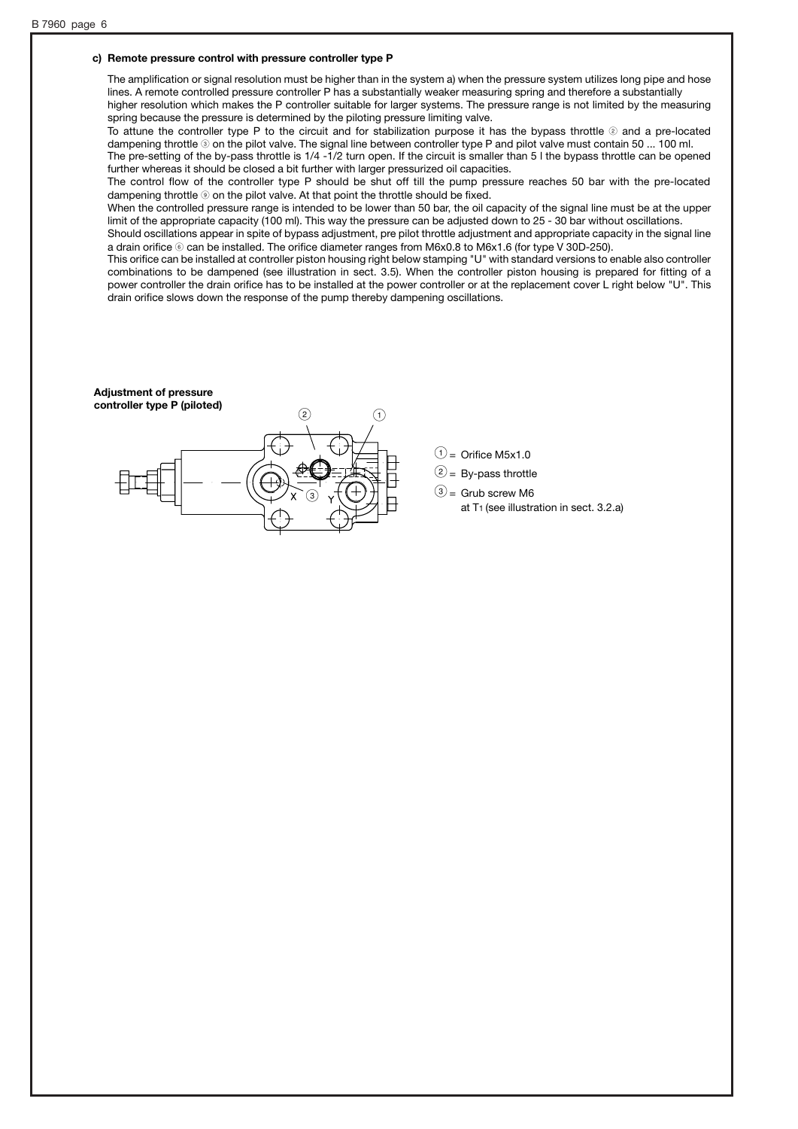#### **c) Remote pressure control with pressure controller type P**

The amplification or signal resolution must be higher than in the system a) when the pressure system utilizes long pipe and hose lines. A remote controlled pressure controller P has a substantially weaker measuring spring and therefore a substantially higher resolution which makes the P controller suitable for larger systems. The pressure range is not limited by the measuring spring because the pressure is determined by the piloting pressure limiting valve.

To attune the controller type P to the circuit and for stabilization purpose it has the bypass throttle  $@$  and a pre-located dampening throttle <sup>o</sup> on the pilot valve. The signal line between controller type P and pilot valve must contain 50 ... 100 ml. The pre-setting of the by-pass throttle is 1/4 -1/2 turn open. If the circuit is smaller than 5 l the bypass throttle can be opened further whereas it should be closed a bit further with larger pressurized oil capacities.

The control flow of the controller type P should be shut off till the pump pressure reaches 50 bar with the pre-located dampening throttle  $\circledast$  on the pilot valve. At that point the throttle should be fixed.

When the controlled pressure range is intended to be lower than 50 bar, the oil capacity of the signal line must be at the upper limit of the appropriate capacity (100 ml). This way the pressure can be adjusted down to 25 - 30 bar without oscillations.

Should oscillations appear in spite of bypass adjustment, pre pilot throttle adjustment and appropriate capacity in the signal line a drain orifice @ can be installed. The orifice diameter ranges from M6x0.8 to M6x1.6 (for type V 30D-250).

This orifice can be installed at controller piston housing right below stamping "U" with standard versions to enable also controller combinations to be dampened (see illustration in sect. 3.5). When the controller piston housing is prepared for fitting of a power controller the drain orifice has to be installed at the power controller or at the replacement cover L right below "U". This drain orifice slows down the response of the pump thereby dampening oscillations.

#### **Adjustment of pressure controller type P (piloted)**



- $\textcircled{1}$  = Orifice M5x1.0
- $(2)$  = By-pass throttle
- $\circled{3}$  = Grub screw M6
	- at T1 (see illustration in sect. 3.2.a)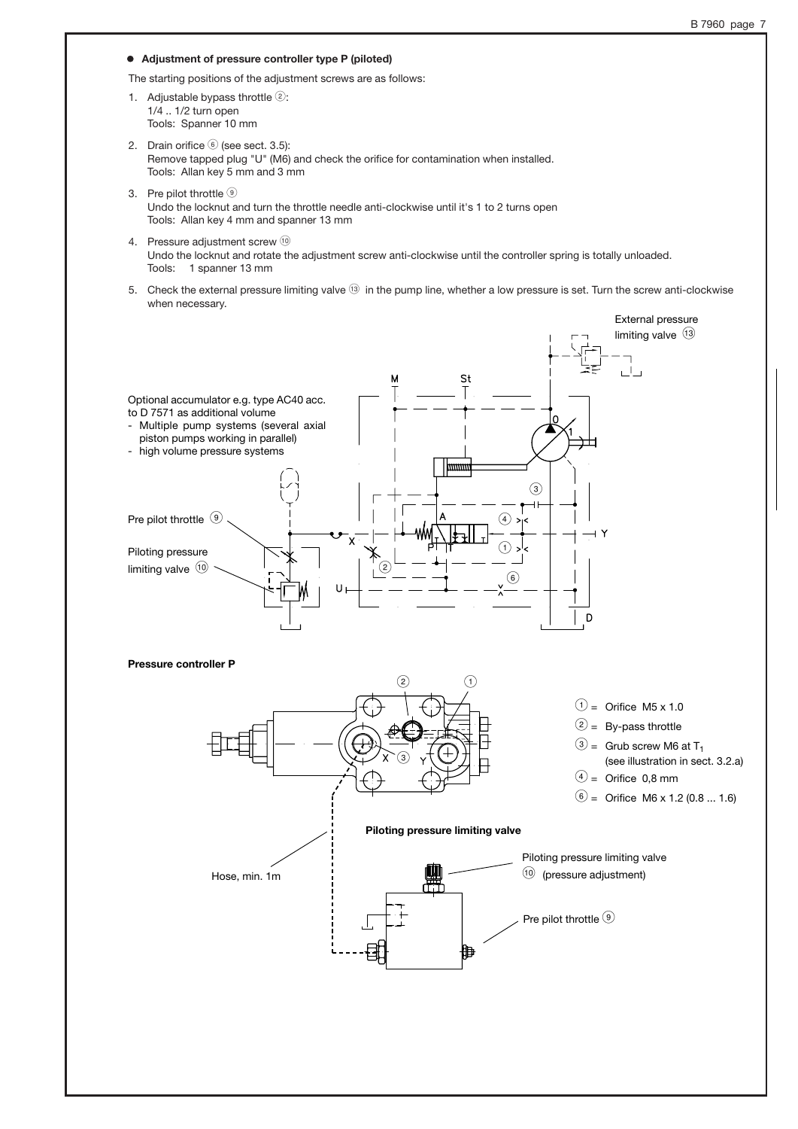#### ' **Adjustment of pressure controller type P (piloted)**

The starting positions of the adjustment screws are as follows:

- 1. Adjustable bypass throttle  $(2)$ : 1/4 .. 1/2 turn open Tools: Spanner 10 mm
- 2. Drain orifice  $\circledcirc$  (see sect. 3.5): Remove tapped plug "U" (M6) and check the orifice for contamination when installed. Tools: Allan key 5 mm and 3 mm
- 3. Pre pilot throttle <sup>9</sup> Undo the locknut and turn the throttle needle anti-clockwise until it's 1 to 2 turns open Tools: Allan key 4 mm and spanner 13 mm
- 4. Pressure adjustment screw 10 Undo the locknut and rotate the adjustment screw anti-clockwise until the controller spring is totally unloaded. Tools: 1 spanner 13 mm
- 5. Check the external pressure limiting valve G in the pump line, whether a low pressure is set. Turn the screw anti-clockwise when necessary.

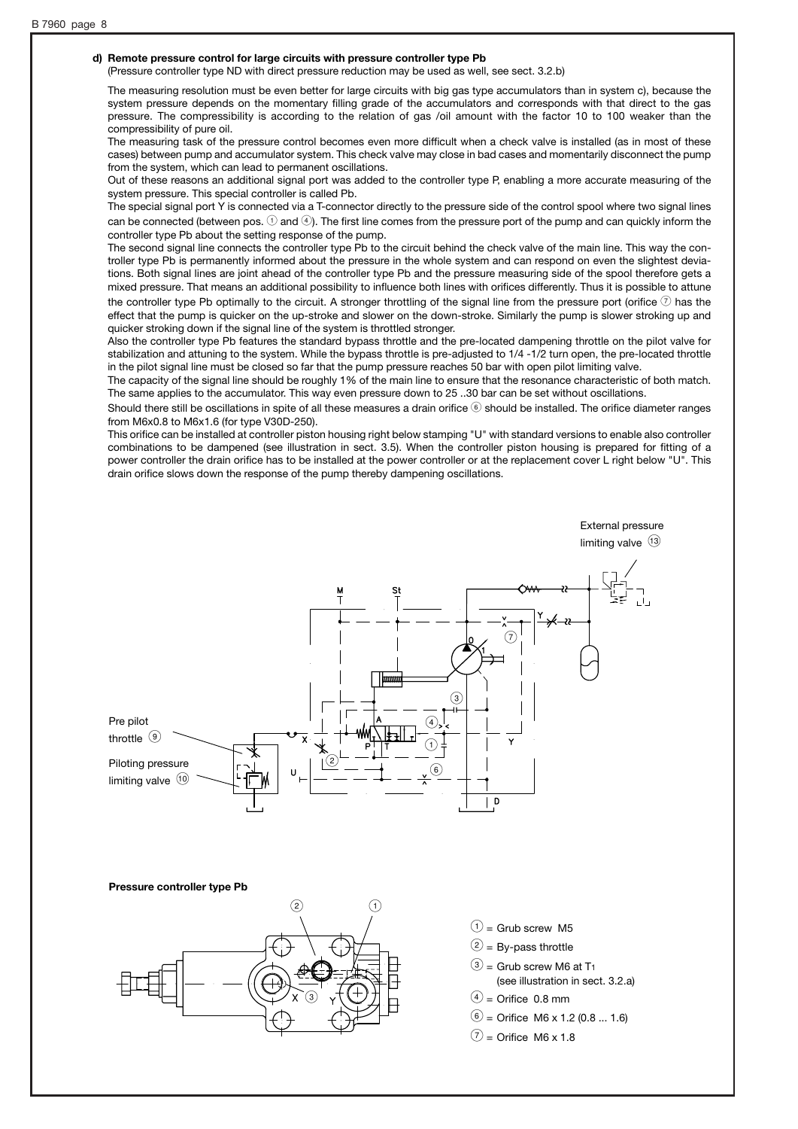#### **d) Remote pressure control for large circuits with pressure controller type Pb**

(Pressure controller type ND with direct pressure reduction may be used as well, see sect. 3.2.b)

The measuring resolution must be even better for large circuits with big gas type accumulators than in system c), because the system pressure depends on the momentary filling grade of the accumulators and corresponds with that direct to the gas pressure. The compressibility is according to the relation of gas /oil amount with the factor 10 to 100 weaker than the compressibility of pure oil.

The measuring task of the pressure control becomes even more difficult when a check valve is installed (as in most of these cases) between pump and accumulator system. This check valve may close in bad cases and momentarily disconnect the pump from the system, which can lead to permanent oscillations.

Out of these reasons an additional signal port was added to the controller type P, enabling a more accurate measuring of the system pressure. This special controller is called Pb.

The special signal port Y is connected via a T-connector directly to the pressure side of the control spool where two signal lines can be connected (between pos.  $\odot$  and  $\odot$ ). The first line comes from the pressure port of the pump and can quickly inform the controller type Pb about the setting response of the pump.

The second signal line connects the controller type Pb to the circuit behind the check valve of the main line. This way the controller type Pb is permanently informed about the pressure in the whole system and can respond on even the slightest deviations. Both signal lines are joint ahead of the controller type Pb and the pressure measuring side of the spool therefore gets a mixed pressure. That means an additional possibility to influence both lines with orifices differently. Thus it is possible to attune the controller type Pb optimally to the circuit. A stronger throttling of the signal line from the pressure port (orifice  $\mathcal D$  has the effect that the pump is quicker on the up-stroke and slower on the down-stroke. Similarly the pump is slower stroking up and quicker stroking down if the signal line of the system is throttled stronger.

Also the controller type Pb features the standard bypass throttle and the pre-located dampening throttle on the pilot valve for stabilization and attuning to the system. While the bypass throttle is pre-adjusted to 1/4 -1/2 turn open, the pre-located throttle in the pilot signal line must be closed so far that the pump pressure reaches 50 bar with open pilot limiting valve.

The capacity of the signal line should be roughly 1% of the main line to ensure that the resonance characteristic of both match. The same applies to the accumulator. This way even pressure down to 25 ..30 bar can be set without oscillations.

Should there still be oscillations in spite of all these measures a drain orifice  $\circledast$  should be installed. The orifice diameter ranges from M6x0.8 to M6x1.6 (for type V30D-250).

This orifice can be installed at controller piston housing right below stamping "U" with standard versions to enable also controller combinations to be dampened (see illustration in sect. 3.5). When the controller piston housing is prepared for fitting of a power controller the drain orifice has to be installed at the power controller or at the replacement cover L right below "U". This drain orifice slows down the response of the pump thereby dampening oscillations.



#### **Pressure controller type Pb**

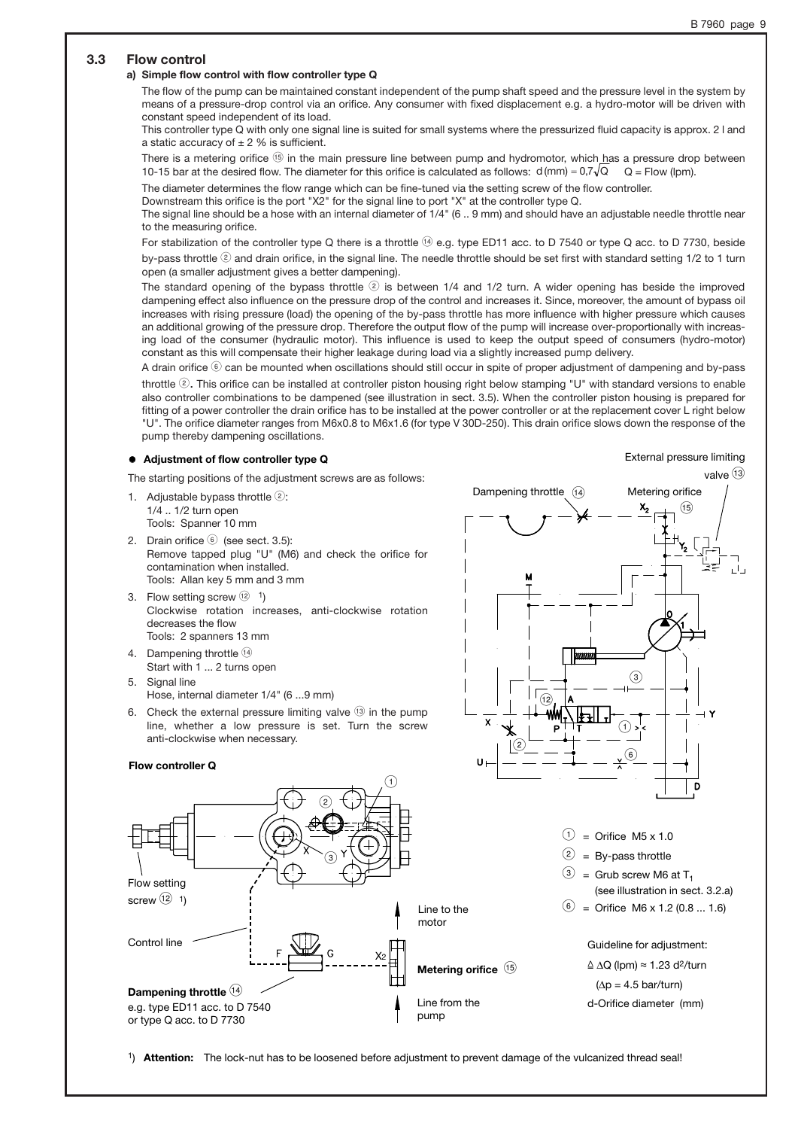### **3.3 Flow control**

#### **a) Simple flow control with flow controller type Q**

The flow of the pump can be maintained constant independent of the pump shaft speed and the pressure level in the system by means of a pressure-drop control via an orifice. Any consumer with fixed displacement e.g. a hydro-motor will be driven with constant speed independent of its load.

This controller type Q with only one signal line is suited for small systems where the pressurized fluid capacity is approx. 2 l and a static accuracy of  $\pm 2$  % is sufficient.

There is a metering orifice  $\circledast$  in the main pressure line between pump and hydromotor, which has a pressure drop between 10-15 bar at the desired flow. The diameter for this orifice is calculated as follows:  $d$  (mm) = 0,7 $\sqrt{Q}$  Q = Flow (lpm).

The diameter determines the flow range which can be fine-tuned via the setting screw of the flow controller.

Downstream this orifice is the port "X2" for the signal line to port "X" at the controller type Q.

The signal line should be a hose with an internal diameter of 1/4" (6 .. 9 mm) and should have an adjustable needle throttle near to the measuring orifice.

For stabilization of the controller type Q there is a throttle (14) e.g. type ED11 acc. to D 7540 or type Q acc. to D 7730, beside by-pass throttle  $@$  and drain orifice, in the signal line. The needle throttle should be set first with standard setting  $1/2$  to 1 turn open (a smaller adjustment gives a better dampening).

The standard opening of the bypass throttle  $@$  is between 1/4 and 1/2 turn. A wider opening has beside the improved dampening effect also influence on the pressure drop of the control and increases it. Since, moreover, the amount of bypass oil increases with rising pressure (load) the opening of the by-pass throttle has more influence with higher pressure which causes an additional growing of the pressure drop. Therefore the output flow of the pump will increase over-proportionally with increasing load of the consumer (hydraulic motor). This influence is used to keep the output speed of consumers (hydro-motor) constant as this will compensate their higher leakage during load via a slightly increased pump delivery.

A drain orifice  $\circledast$  can be mounted when oscillations should still occur in spite of proper adjustment of dampening and by-pass throttle 2. This orifice can be installed at controller piston housing right below stamping "U" with standard versions to enable also controller combinations to be dampened (see illustration in sect. 3.5). When the controller piston housing is prepared for fitting of a power controller the drain orifice has to be installed at the power controller or at the replacement cover L right below "U". The orifice diameter ranges from M6x0.8 to M6x1.6 (for type V 30D-250). This drain orifice slows down the response of the pump thereby dampening oscillations.

#### ' **Adjustment of flow controller type Q**

The starting positions of the adjustment screws are as follows:

- 1. Adjustable bypass throttle  $(2)$ : 1/4 .. 1/2 turn open Tools: Spanner 10 mm
- 2. Drain orifice @ (see sect. 3.5): Remove tapped plug "U" (M6) and check the orifice for contamination when installed. Tools: Allan key 5 mm and 3 mm
- 3. Flow setting screw  $(12)$  1) Clockwise rotation increases, anti-clockwise rotation decreases the flow Tools: 2 spanners 13 mm
- 4. Dampening throttle  $(1)$ Start with 1 ... 2 turns open
- 5. Signal line Hose, internal diameter 1/4" (6 ...9 mm)
- 6. Check the external pressure limiting valve  $(3)$  in the pump line, whether a low pressure is set. Turn the screw anti-clockwise when necessary.



1) **Attention:** The lock-nut has to be loosened before adjustment to prevent damage of the vulcanized thread seal!

# External pressure limiting

valve  $(13)$ 

 $\circled{\scriptstyle\textrm{15}}$ 

 $\circled{3}$ 

 $\bigodot$ 

Dampening throttle  $(14)$  Metering orifice

 $\bigcirc$ 

 $\widehat{12}$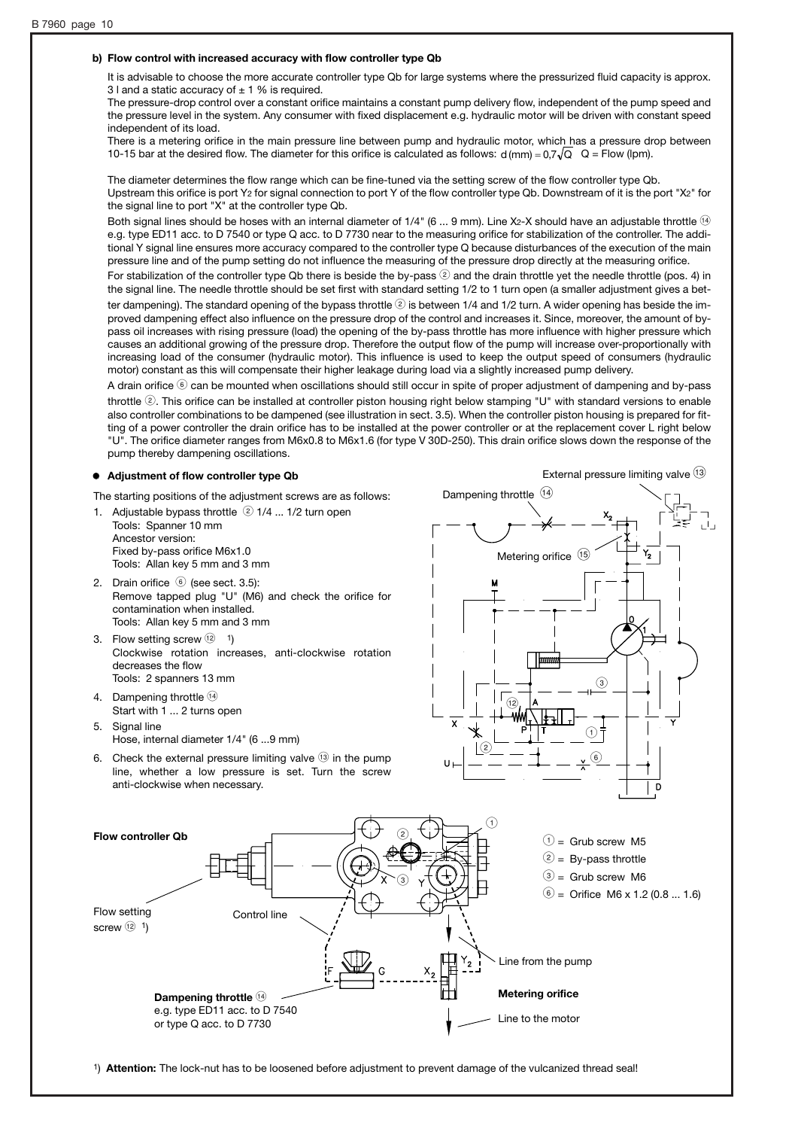#### **b) Flow control with increased accuracy with flow controller type Qb**

It is advisable to choose the more accurate controller type Qb for large systems where the pressurized fluid capacity is approx. 3 l and a static accuracy of  $\pm$  1 % is required.

The pressure-drop control over a constant orifice maintains a constant pump delivery flow, independent of the pump speed and the pressure level in the system. Any consumer with fixed displacement e.g. hydraulic motor will be driven with constant speed independent of its load.

There is a metering orifice in the main pressure line between pump and hydraulic motor, which has a pressure drop between 10-15 bar at the desired flow. The diameter for this orifice is calculated as follows:  $d$  (mm) = 0,7 $\sqrt{Q}$   $Q$  = Flow (lpm).

The diameter determines the flow range which can be fine-tuned via the setting screw of the flow controller type Qb. Upstream this orifice is port Y<sub>2</sub> for signal connection to port Y of the flow controller type Qb. Downstream of it is the port "X2" for the signal line to port "X" at the controller type Qb.

Both signal lines should be hoses with an internal diameter of  $1/4$ " (6 ... 9 mm). Line X2-X should have an adjustable throttle  $\circledast$ e.g. type ED11 acc. to D 7540 or type Q acc. to D 7730 near to the measuring orifice for stabilization of the controller. The additional Y signal line ensures more accuracy compared to the controller type Q because disturbances of the execution of the main pressure line and of the pump setting do not influence the measuring of the pressure drop directly at the measuring orifice.

For stabilization of the controller type Qb there is beside the by-pass  $\mathcal{Q}$  and the drain throttle yet the needle throttle (pos. 4) in the signal line. The needle throttle should be set first with standard setting 1/2 to 1 turn open (a smaller adjustment gives a better dampening). The standard opening of the bypass throttle  $\circledcirc$  is between 1/4 and 1/2 turn. A wider opening has beside the improved dampening effect also influence on the pressure drop of the control and increases it. Since, moreover, the amount of bypass oil increases with rising pressure (load) the opening of the by-pass throttle has more influence with higher pressure which causes an additional growing of the pressure drop. Therefore the output flow of the pump will increase over-proportionally with increasing load of the consumer (hydraulic motor). This influence is used to keep the output speed of consumers (hydraulic motor) constant as this will compensate their higher leakage during load via a slightly increased pump delivery.

A drain orifice  $\circledast$  can be mounted when oscillations should still occur in spite of proper adjustment of dampening and by-pass throttle 2. This orifice can be installed at controller piston housing right below stamping "U" with standard versions to enable also controller combinations to be dampened (see illustration in sect. 3.5). When the controller piston housing is prepared for fitting of a power controller the drain orifice has to be installed at the power controller or at the replacement cover L right below "U". The orifice diameter ranges from M6x0.8 to M6x1.6 (for type V 30D-250). This drain orifice slows down the response of the pump thereby dampening oscillations.

#### ' **Adjustment of flow controller type Qb**

The starting positions of the adjustment screws are as follows:

- 1. Adjustable bypass throttle  $(2)$  1/4 ... 1/2 turn open Tools: Spanner 10 mm Ancestor version: Fixed by-pass orifice M6x1.0 Tools: Allan key 5 mm and 3 mm
- 2. Drain orifice @ (see sect. 3.5): Remove tapped plug "U" (M6) and check the orifice for contamination when installed. Tools: Allan key 5 mm and 3 mm
- 3. Flow setting screw  $(12)$  1) Clockwise rotation increases, anti-clockwise rotation decreases the flow Tools: 2 spanners 13 mm
- 4. Dampening throttle <sup>(14)</sup> Start with 1 ... 2 turns open
- 5. Signal line Hose, internal diameter 1/4" (6 ...9 mm)
- 6. Check the external pressure limiting valve  $(3)$  in the pump line, whether a low pressure is set. Turn the screw anti-clockwise when necessary.







1) **Attention:** The lock-nut has to be loosened before adjustment to prevent damage of the vulcanized thread seal!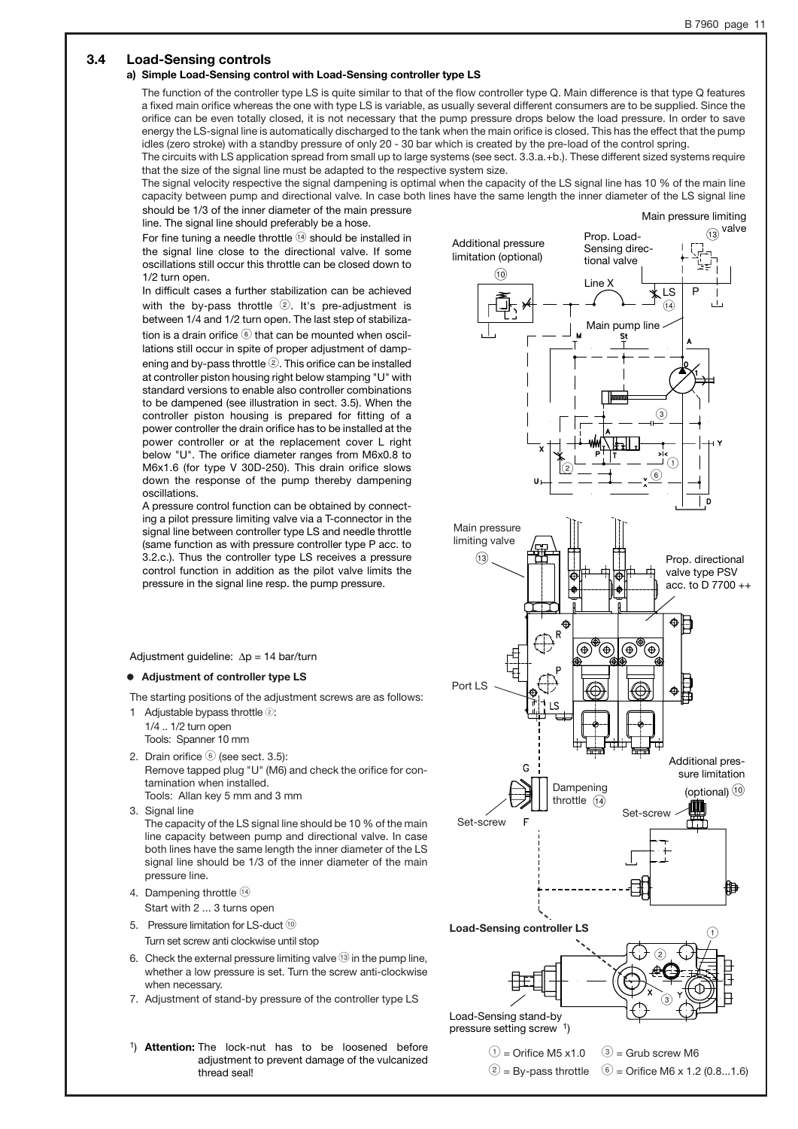#### **3.4 Load-Sensing controls**

#### **a) Simple Load-Sensing control with Load-Sensing controller type LS**

The function of the controller type LS is quite similar to that of the flow controller type Q. Main difference is that type Q features a fixed main orifice whereas the one with type LS is variable, as usually several different consumers are to be supplied. Since the orifice can be even totally closed, it is not necessary that the pump pressure drops below the load pressure. In order to save energy the LS-signal line is automatically discharged to the tank when the main orifice is closed. This has the effect that the pump idles (zero stroke) with a standby pressure of only 20 - 30 bar which is created by the pre-load of the control spring. The circuits with LS application spread from small up to large systems (see sect. 3.3.a.+b.). These different sized systems require

that the size of the signal line must be adapted to the respective system size.

The signal velocity respective the signal dampening is optimal when the capacity of the LS signal line has 10 % of the main line capacity between pump and directional valve. In case both lines have the same length the inner diameter of the LS signal line should be 1/3 of the inner diameter of the main pressure

line. The signal line should preferably be a hose. For fine tuning a needle throttle  $(4)$  should be installed in

the signal line close to the directional valve. If some oscillations still occur this throttle can be closed down to 1/2 turn open.

In difficult cases a further stabilization can be achieved with the by-pass throttle  $(2)$ . It's pre-adjustment is between 1/4 and 1/2 turn open. The last step of stabilization is a drain orifice  $\circledast$  that can be mounted when oscillations still occur in spite of proper adjustment of dampening and by-pass throttle  $(2)$ . This orifice can be installed at controller piston housing right below stamping "U" with standard versions to enable also controller combinations to be dampened (see illustration in sect. 3.5). When the controller piston housing is prepared for fitting of a power controller the drain orifice has to be installed at the power controller or at the replacement cover L right below "U". The orifice diameter ranges from M6x0.8 to M6x1.6 (for type V 30D-250). This drain orifice slows down the response of the pump thereby dampening oscillations.

A pressure control function can be obtained by connecting a pilot pressure limiting valve via a T-connector in the signal line between controller type LS and needle throttle (same function as with pressure controller type P acc. to 3.2.c.). Thus the controller type LS receives a pressure control function in addition as the pilot valve limits the pressure in the signal line resp. the pump pressure.

Adjustment quideline:  $\Delta p = 14$  bar/turn

#### ' **Adjustment of controller type LS**

The starting positions of the adjustment screws are as follows:

1 Adjustable bypass throttle 2:

1/4 .. 1/2 turn open Tools: Spanner 10 mm

- 2. Drain orifice @ (see sect. 3.5): Remove tapped plug "U" (M6) and check the orifice for contamination when installed. Tools: Allan key 5 mm and 3 mm
- 3. Signal line

The capacity of the LS signal line should be 10 % of the main line capacity between pump and directional valve. In case both lines have the same length the inner diameter of the LS signal line should be 1/3 of the inner diameter of the main pressure line.

4. Dampening throttle <sup>(14)</sup> Start with 2 ... 3 turns open

- 
- 5. Pressure limitation for LS-duct <sup>10</sup>

Turn set screw anti clockwise until stop

- 6. Check the external pressure limiting valve  $\mathbb{G}$  in the pump line, whether a low pressure is set. Turn the screw anti-clockwise when necessary.
- 7. Adjustment of stand-by pressure of the controller type LS
- 1) **Attention:** The lock-nut has to be loosened before adjustment to prevent damage of the vulcanized thread seal!

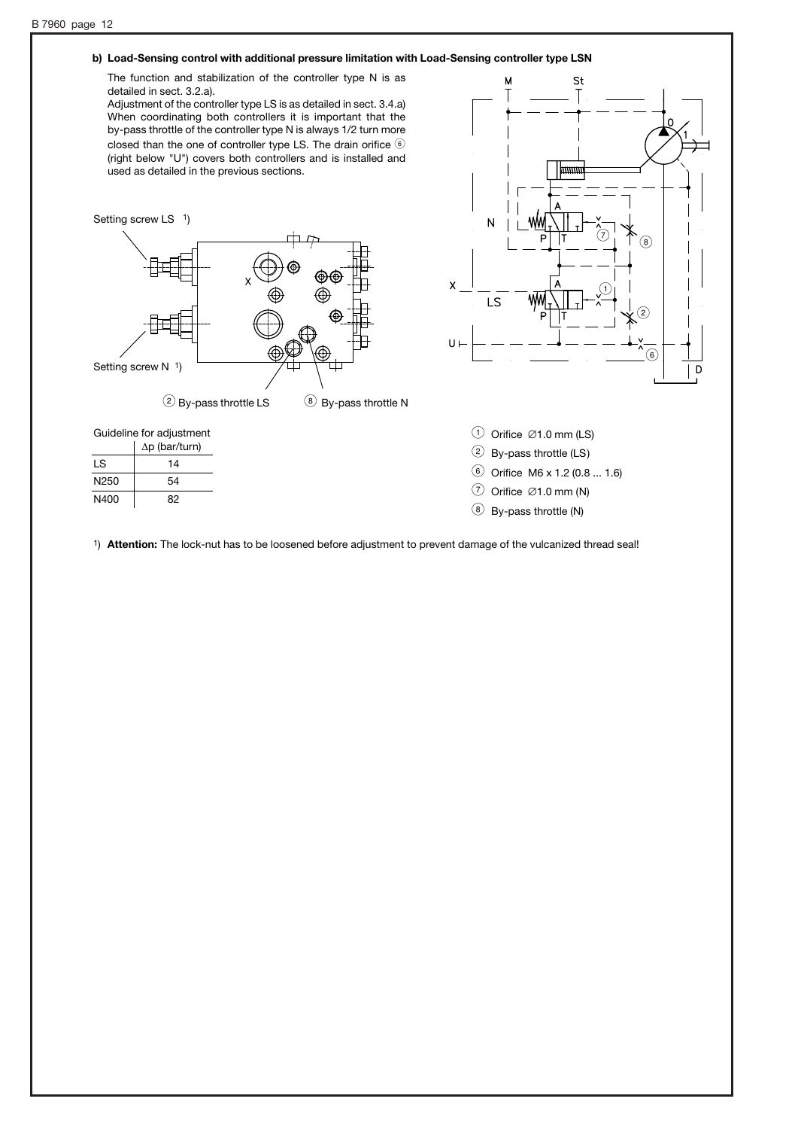## **b) Load-Sensing control with additional pressure limitation with Load-Sensing controller type LSN**

The function and stabilization of the controller type N is as detailed in sect. 3.2.a).

Adjustment of the controller type LS is as detailed in sect. 3.4.a) When coordinating both controllers it is important that the by-pass throttle of the controller type N is always 1/2 turn more closed than the one of controller type LS. The drain orifice  $@$ (right below "U") covers both controllers and is installed and used as detailed in the previous sections.



St  $\overline{\mathsf{M}}$ <u>uuuu</u> N  $\bigcirc$   $\uparrow$   $\uparrow$  8  $\overline{\mathsf{x}}$  $\mathcal{O}$ LS  $\widehat{\mathbf{2}}$ @ D

|  | Guideline for adjustment |
|--|--------------------------|
|  | $A = (1 - 1)(1 - 1)$     |

|                  | $\Delta p$ (bar/turn) |
|------------------|-----------------------|
| LS               | 14                    |
| N <sub>250</sub> | 54                    |
| N400             | 82                    |

|  |  | $\odot$ Orifice $\oslash$ 1.0 mm (LS) |  |
|--|--|---------------------------------------|--|
|--|--|---------------------------------------|--|

- 2 By-pass throttle (LS)
- @ Orifice M6 x 1.2 (0.8 ... 1.6)
- $\circled{)}$  Orifice  $\oslash$  1.0 mm (N)
- $\circledR$  By-pass throttle (N)

1) **Attention:** The lock-nut has to be loosened before adjustment to prevent damage of the vulcanized thread seal!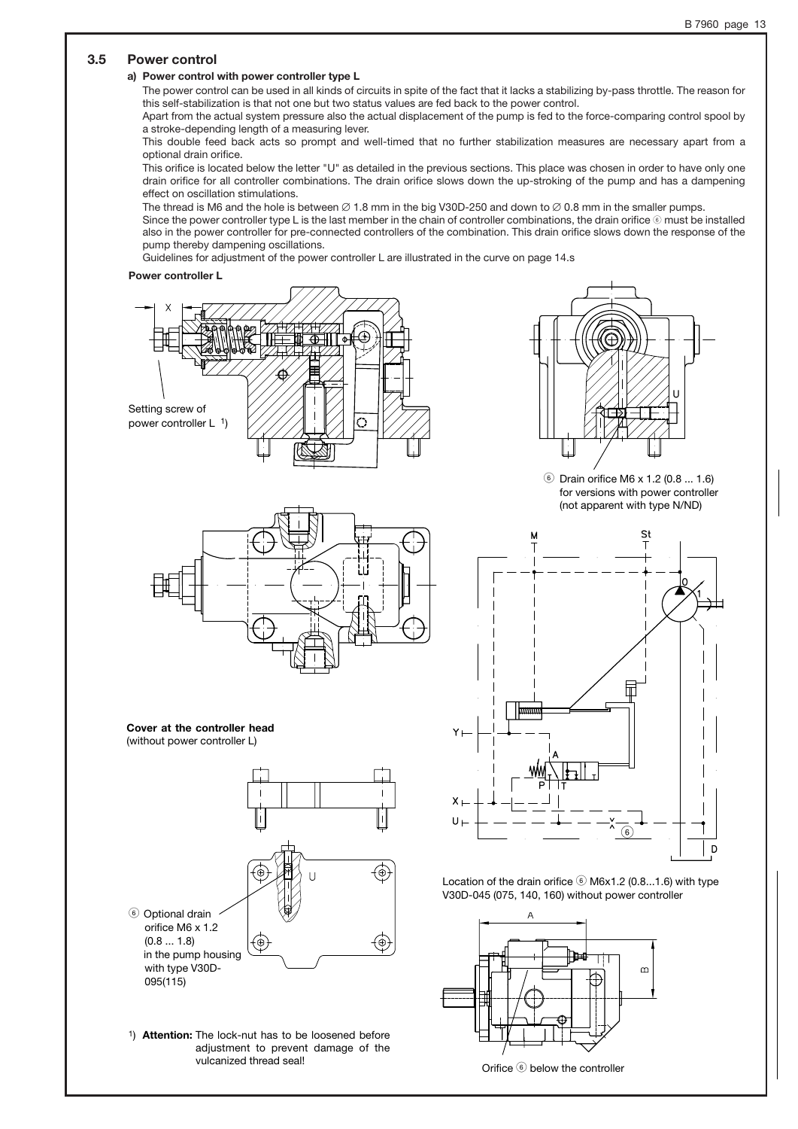### **3.5 Power control**

## **a) Power control with power controller type L**

The power control can be used in all kinds of circuits in spite of the fact that it lacks a stabilizing by-pass throttle. The reason for this self-stabilization is that not one but two status values are fed back to the power control.

Apart from the actual system pressure also the actual displacement of the pump is fed to the force-comparing control spool by a stroke-depending length of a measuring lever.

This double feed back acts so prompt and well-timed that no further stabilization measures are necessary apart from a optional drain orifice.

This orifice is located below the letter "U" as detailed in the previous sections. This place was chosen in order to have only one drain orifice for all controller combinations. The drain orifice slows down the up-stroking of the pump and has a dampening effect on oscillation stimulations.

The thread is M6 and the hole is between  $\varnothing$  1.8 mm in the big V30D-250 and down to  $\varnothing$  0.8 mm in the smaller pumps. Since the power controller type L is the last member in the chain of controller combinations, the drain orifice  $\circledast$  must be installed also in the power controller for pre-connected controllers of the combination. This drain orifice slows down the response of the pump thereby dampening oscillations.

Guidelines for adjustment of the power controller L are illustrated in the curve on page 14.s

#### **Power controller L**





#### **Cover at the controller head** (without power controller L)



1) **Attention:** The lock-nut has to be loosened before adjustment to prevent damage of the vulcanized thread seal!



@ Drain orifice M6 x 1.2 (0.8 ... 1.6) for versions with power controller (not apparent with type N/ND)



Location of the drain orifice  $\circledast$  M6x1.2 (0.8...1.6) with type V30D-045 (075, 140, 160) without power controller



Orifice @ below the controller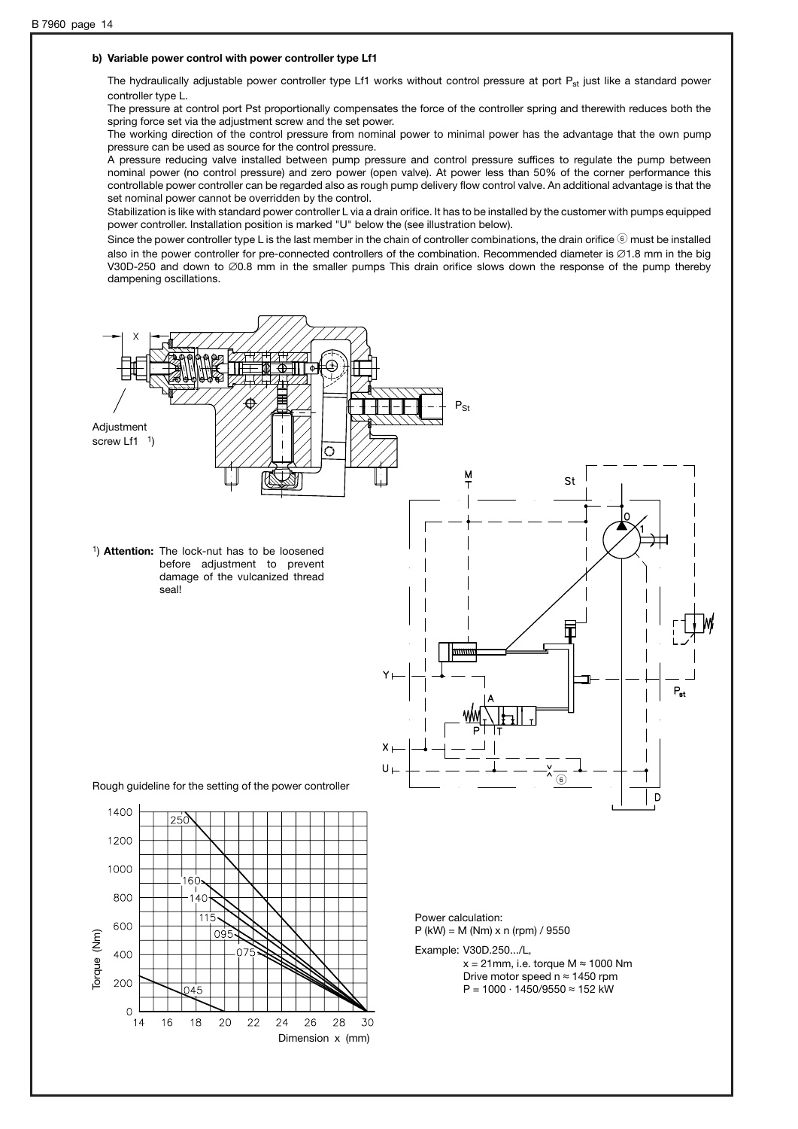#### **b) Variable power control with power controller type Lf1**

The hydraulically adjustable power controller type Lf1 works without control pressure at port  $P_{st}$  just like a standard power controller type L.

The pressure at control port Pst proportionally compensates the force of the controller spring and therewith reduces both the spring force set via the adjustment screw and the set power.

The working direction of the control pressure from nominal power to minimal power has the advantage that the own pump pressure can be used as source for the control pressure.

A pressure reducing valve installed between pump pressure and control pressure suffices to regulate the pump between nominal power (no control pressure) and zero power (open valve). At power less than 50% of the corner performance this controllable power controller can be regarded also as rough pump delivery flow control valve. An additional advantage is that the set nominal power cannot be overridden by the control.

Stabilization is like with standard power controller L via a drain orifice. It has to be installed by the customer with pumps equipped power controller. Installation position is marked "U" below the (see illustration below).

Since the power controller type L is the last member in the chain of controller combinations, the drain orifice  $\circledast$  must be installed also in the power controller for pre-connected controllers of the combination. Recommended diameter is  $\emptyset$ 1.8 mm in the big V30D-250 and down to  $\emptyset$ 0.8 mm in the smaller pumps This drain orifice slows down the response of the pump thereby dampening oscillations.

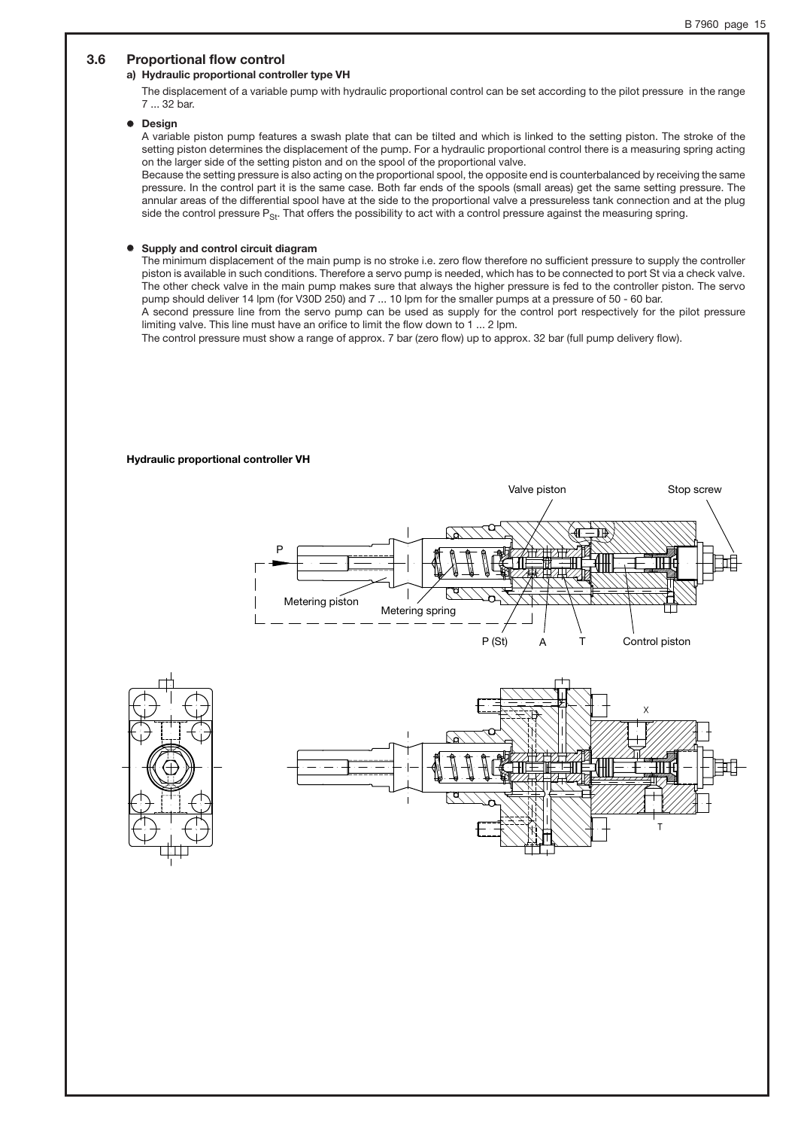## **3.6 Proportional flow control**

#### **a) Hydraulic proportional controller type VH**

The displacement of a variable pump with hydraulic proportional control can be set according to the pilot pressure in the range 7 ... 32 bar.

#### ' **Design**

A variable piston pump features a swash plate that can be tilted and which is linked to the setting piston. The stroke of the setting piston determines the displacement of the pump. For a hydraulic proportional control there is a measuring spring acting on the larger side of the setting piston and on the spool of the proportional valve.

Because the setting pressure is also acting on the proportional spool, the opposite end is counterbalanced by receiving the same pressure. In the control part it is the same case. Both far ends of the spools (small areas) get the same setting pressure. The annular areas of the differential spool have at the side to the proportional valve a pressureless tank connection and at the plug side the control pressure  $P_{\rm Sr}$ . That offers the possibility to act with a control pressure against the measuring spring.

#### '**Supply and control circuit diagram**

The minimum displacement of the main pump is no stroke i.e. zero flow therefore no sufficient pressure to supply the controller piston is available in such conditions. Therefore a servo pump is needed, which has to be connected to port St via a check valve. The other check valve in the main pump makes sure that always the higher pressure is fed to the controller piston. The servo pump should deliver 14 lpm (for V30D 250) and 7 ... 10 lpm for the smaller pumps at a pressure of 50 - 60 bar.

A second pressure line from the servo pump can be used as supply for the control port respectively for the pilot pressure limiting valve. This line must have an orifice to limit the flow down to 1 ... 2 lpm.

The control pressure must show a range of approx. 7 bar (zero flow) up to approx. 32 bar (full pump delivery flow).

#### **Hydraulic proportional controller VH**

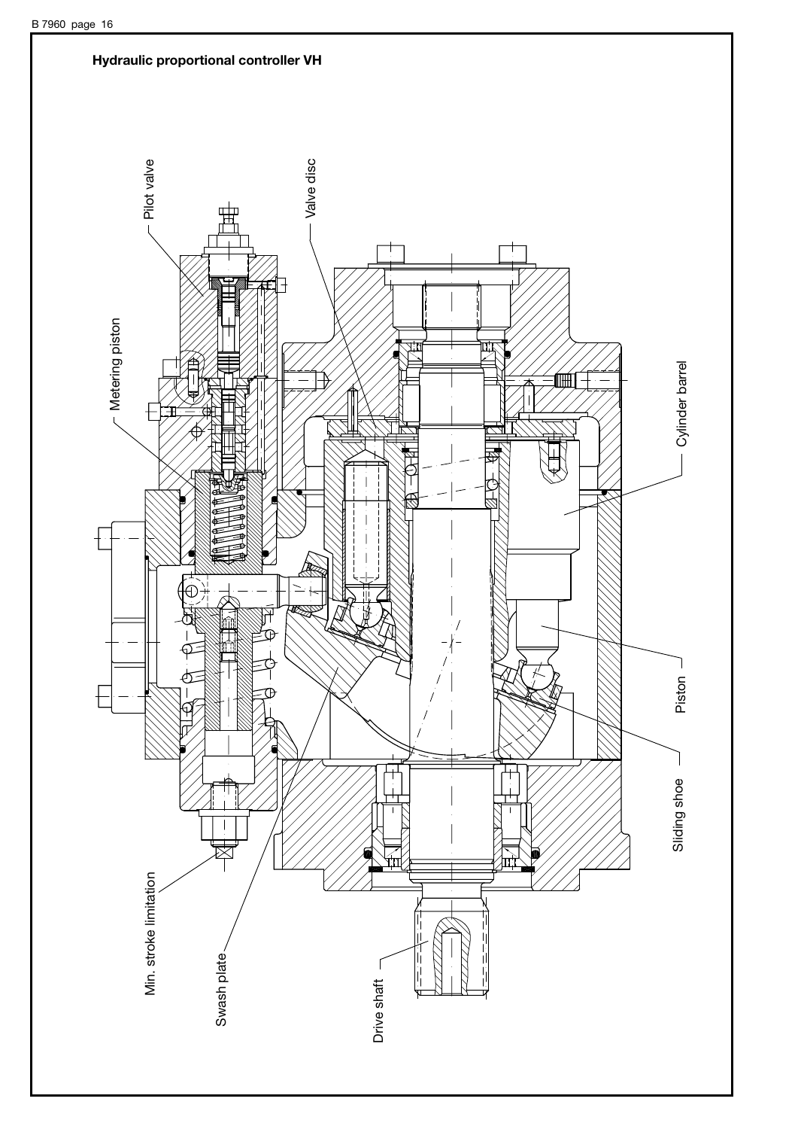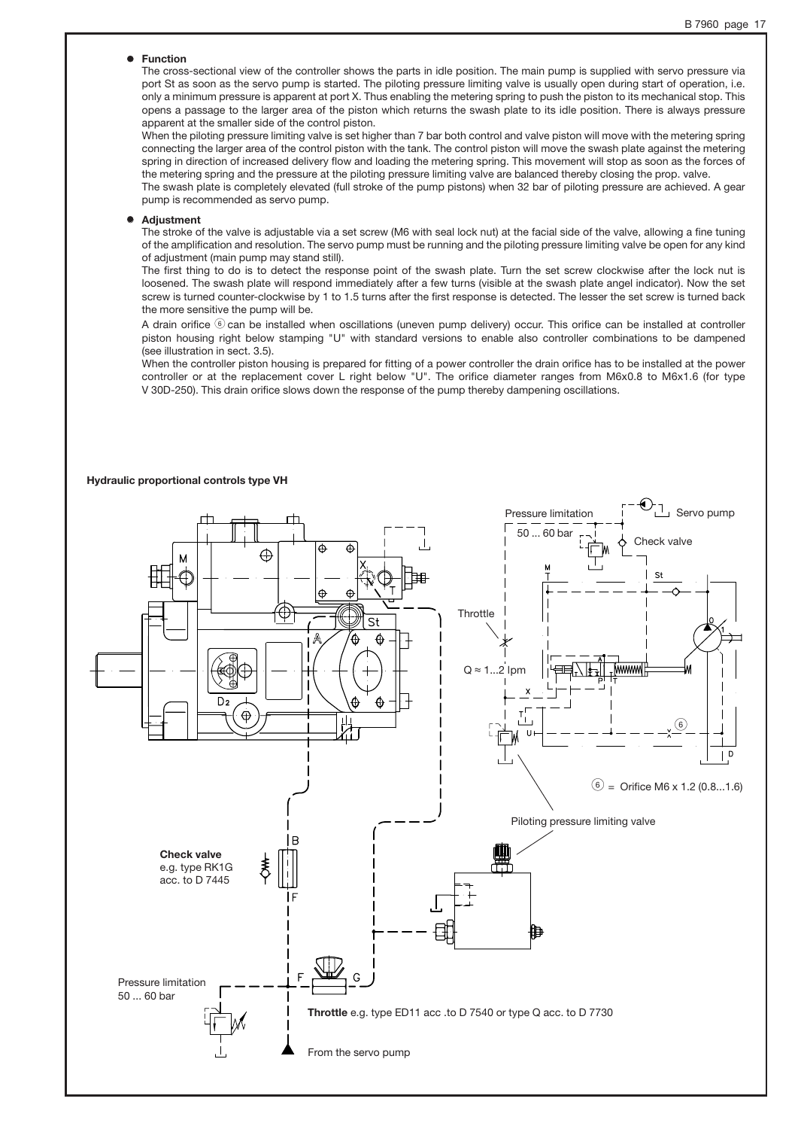#### ' **Function**

The cross-sectional view of the controller shows the parts in idle position. The main pump is supplied with servo pressure via port St as soon as the servo pump is started. The piloting pressure limiting valve is usually open during start of operation, i.e. only a minimum pressure is apparent at port X. Thus enabling the metering spring to push the piston to its mechanical stop. This opens a passage to the larger area of the piston which returns the swash plate to its idle position. There is always pressure apparent at the smaller side of the control piston.

When the piloting pressure limiting valve is set higher than 7 bar both control and valve piston will move with the metering spring connecting the larger area of the control piston with the tank. The control piston will move the swash plate against the metering spring in direction of increased delivery flow and loading the metering spring. This movement will stop as soon as the forces of the metering spring and the pressure at the piloting pressure limiting valve are balanced thereby closing the prop. valve.

The swash plate is completely elevated (full stroke of the pump pistons) when 32 bar of piloting pressure are achieved. A gear pump is recommended as servo pump.

#### 0 **Adjustment**

The stroke of the valve is adjustable via a set screw (M6 with seal lock nut) at the facial side of the valve, allowing a fine tuning of the amplification and resolution. The servo pump must be running and the piloting pressure limiting valve be open for any kind of adjustment (main pump may stand still).

The first thing to do is to detect the response point of the swash plate. Turn the set screw clockwise after the lock nut is loosened. The swash plate will respond immediately after a few turns (visible at the swash plate angel indicator). Now the set screw is turned counter-clockwise by 1 to 1.5 turns after the first response is detected. The lesser the set screw is turned back the more sensitive the pump will be.

A drain orifice  $\circledast$  can be installed when oscillations (uneven pump delivery) occur. This orifice can be installed at controller piston housing right below stamping "U" with standard versions to enable also controller combinations to be dampened (see illustration in sect. 3.5).

When the controller piston housing is prepared for fitting of a power controller the drain orifice has to be installed at the power controller or at the replacement cover L right below "U". The orifice diameter ranges from M6x0.8 to M6x1.6 (for type V 30D-250). This drain orifice slows down the response of the pump thereby dampening oscillations.



#### **Hydraulic proportional controls type VH**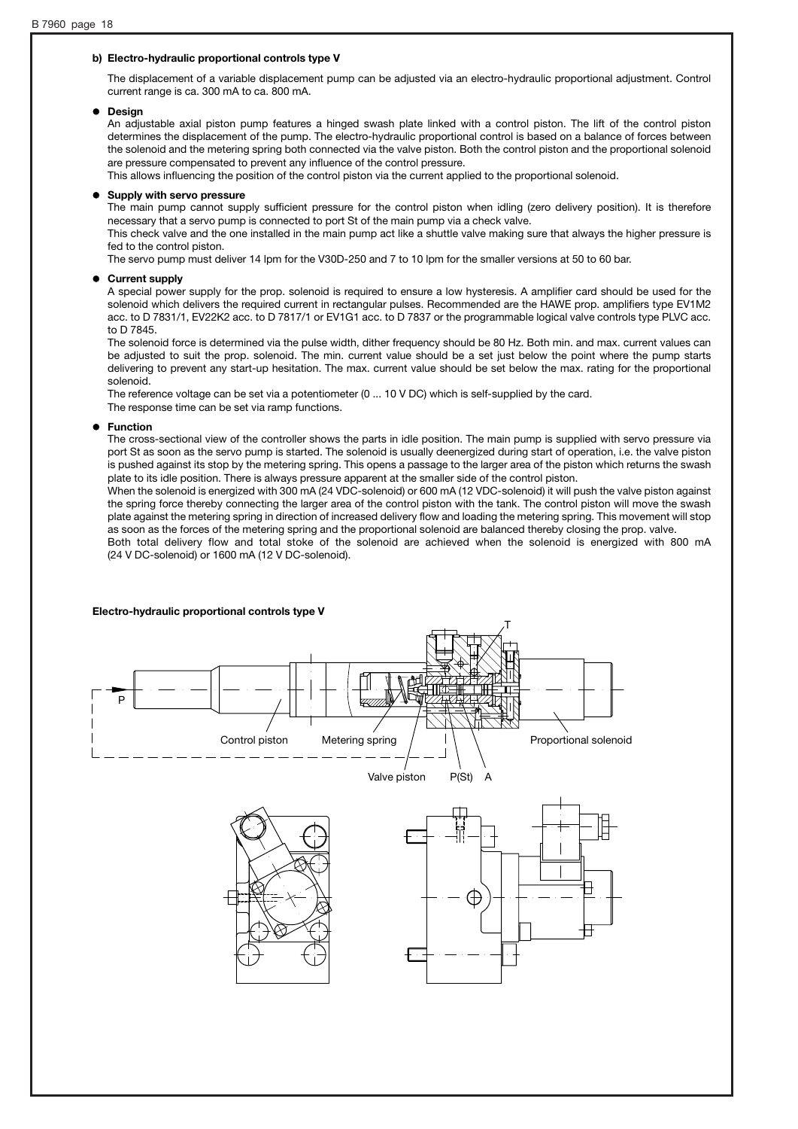#### **b) Electro-hydraulic proportional controls type V**

The displacement of a variable displacement pump can be adjusted via an electro-hydraulic proportional adjustment. Control current range is ca. 300 mA to ca. 800 mA.

#### '**Design**

An adjustable axial piston pump features a hinged swash plate linked with a control piston. The lift of the control piston determines the displacement of the pump. The electro-hydraulic proportional control is based on a balance of forces between the solenoid and the metering spring both connected via the valve piston. Both the control piston and the proportional solenoid are pressure compensated to prevent any influence of the control pressure.

This allows influencing the position of the control piston via the current applied to the proportional solenoid.

#### 0 **Supply with servo pressure**

The main pump cannot supply sufficient pressure for the control piston when idling (zero delivery position). It is therefore necessary that a servo pump is connected to port St of the main pump via a check valve.

This check valve and the one installed in the main pump act like a shuttle valve making sure that always the higher pressure is fed to the control piston.

The servo pump must deliver 14 lpm for the V30D-250 and 7 to 10 lpm for the smaller versions at 50 to 60 bar.

#### '**Current supply**

A special power supply for the prop. solenoid is required to ensure a low hysteresis. A amplifier card should be used for the solenoid which delivers the required current in rectangular pulses. Recommended are the HAWE prop. amplifiers type EV1M2 acc. to D 7831/1, EV22K2 acc. to D 7817/1 or EV1G1 acc. to D 7837 or the programmable logical valve controls type PLVC acc. to D 7845.

The solenoid force is determined via the pulse width, dither frequency should be 80 Hz. Both min. and max. current values can be adjusted to suit the prop. solenoid. The min. current value should be a set just below the point where the pump starts delivering to prevent any start-up hesitation. The max. current value should be set below the max. rating for the proportional solenoid.

The reference voltage can be set via a potentiometer (0 ... 10 V DC) which is self-supplied by the card. The response time can be set via ramp functions.

#### 0 **Function**

The cross-sectional view of the controller shows the parts in idle position. The main pump is supplied with servo pressure via port St as soon as the servo pump is started. The solenoid is usually deenergized during start of operation, i.e. the valve piston is pushed against its stop by the metering spring. This opens a passage to the larger area of the piston which returns the swash plate to its idle position. There is always pressure apparent at the smaller side of the control piston.

When the solenoid is energized with 300 mA (24 VDC-solenoid) or 600 mA (12 VDC-solenoid) it will push the valve piston against the spring force thereby connecting the larger area of the control piston with the tank. The control piston will move the swash plate against the metering spring in direction of increased delivery flow and loading the metering spring. This movement will stop as soon as the forces of the metering spring and the proportional solenoid are balanced thereby closing the prop. valve.

Both total delivery flow and total stoke of the solenoid are achieved when the solenoid is energized with 800 mA (24 V DC-solenoid) or 1600 mA (12 V DC-solenoid).

# **Electro-hydraulic proportional controls type V** TP Control piston Metering spring Proportional solenoid Valve piston P(St) A ⊕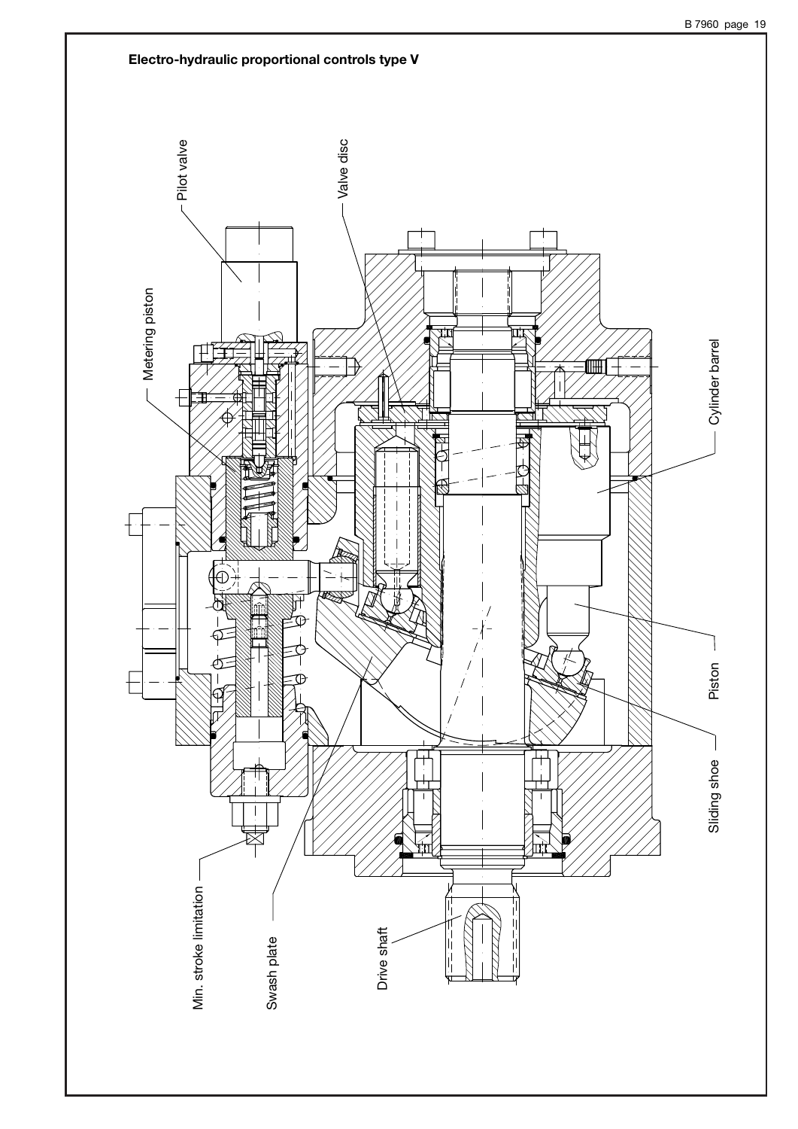